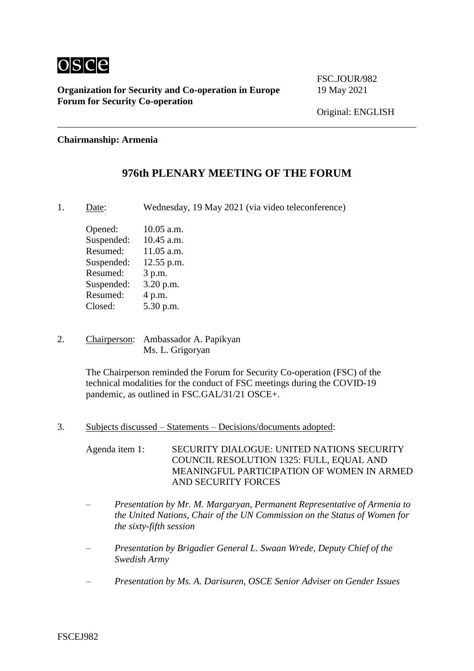

FSC.JOUR/982

#### **Chairmanship: Armenia**

### **976th PLENARY MEETING OF THE FORUM**

1. Date: Wednesday, 19 May 2021 (via video teleconference)

Opened: 10.05 a.m. Suspended: 10.45 a.m. Resumed: 11.05 a.m. Suspended: 12.55 p.m. Resumed: 3 p.m. Suspended: 3.20 p.m. Resumed: 4 p.m. Closed: 5.30 p.m.

2. Chairperson: Ambassador A. Papikyan Ms. L. Grigoryan

> The Chairperson reminded the Forum for Security Co-operation (FSC) of the technical modalities for the conduct of FSC meetings during the COVID-19 pandemic, as outlined in FSC.GAL/31/21 OSCE+.

3. Subjects discussed – Statements – Decisions/documents adopted:

Agenda item 1: SECURITY DIALOGUE: UNITED NATIONS SECURITY COUNCIL RESOLUTION 1325: FULL, EQUAL AND MEANINGFUL PARTICIPATION OF WOMEN IN ARMED AND SECURITY FORCES

- *Presentation by Mr. M. Margaryan, Permanent Representative of Armenia to the United Nations, Chair of the UN Commission on the Status of Women for the sixty-fifth session*
- *Presentation by Brigadier General L. Swaan Wrede, Deputy Chief of the Swedish Army*
- *Presentation by Ms. A. Darisuren, OSCE Senior Adviser on Gender Issues*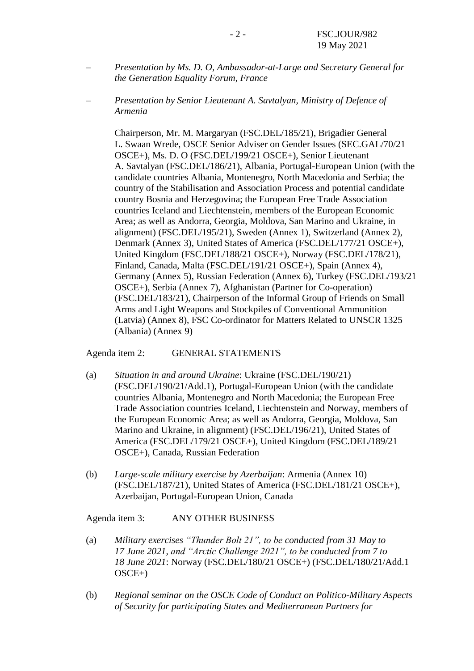- *Presentation by Ms. D. O, Ambassador-at-Large and Secretary General for the Generation Equality Forum, France*
- *Presentation by Senior Lieutenant A. Savtalyan, Ministry of Defence of Armenia*

Chairperson, Mr. M. Margaryan (FSC.DEL/185/21), Brigadier General L. Swaan Wrede, OSCE Senior Adviser on Gender Issues (SEC.GAL/70/21 OSCE+), Ms. D. O (FSC.DEL/199/21 OSCE+), Senior Lieutenant A. Savtalyan (FSC.DEL/186/21), Albania, Portugal-European Union (with the candidate countries Albania, Montenegro, North Macedonia and Serbia; the country of the Stabilisation and Association Process and potential candidate country Bosnia and Herzegovina; the European Free Trade Association countries Iceland and Liechtenstein, members of the European Economic Area; as well as Andorra, Georgia, Moldova, San Marino and Ukraine, in alignment) (FSC.DEL/195/21), Sweden (Annex 1), Switzerland (Annex 2), Denmark (Annex 3), United States of America (FSC.DEL/177/21 OSCE+), United Kingdom (FSC.DEL/188/21 OSCE+), Norway (FSC.DEL/178/21), Finland, Canada, Malta (FSC.DEL/191/21 OSCE+), Spain (Annex 4), Germany (Annex 5), Russian Federation (Annex 6), Turkey (FSC.DEL/193/21 OSCE+), Serbia (Annex 7), Afghanistan (Partner for Co-operation) (FSC.DEL/183/21), Chairperson of the Informal Group of Friends on Small Arms and Light Weapons and Stockpiles of Conventional Ammunition (Latvia) (Annex 8), FSC Co-ordinator for Matters Related to UNSCR 1325 (Albania) (Annex 9)

Agenda item 2: GENERAL STATEMENTS

- (a) *Situation in and around Ukraine*: Ukraine (FSC.DEL/190/21) (FSC.DEL/190/21/Add.1), Portugal-European Union (with the candidate countries Albania, Montenegro and North Macedonia; the European Free Trade Association countries Iceland, Liechtenstein and Norway, members of the European Economic Area; as well as Andorra, Georgia, Moldova, San Marino and Ukraine, in alignment) (FSC.DEL/196/21), United States of America (FSC.DEL/179/21 OSCE+), United Kingdom (FSC.DEL/189/21 OSCE+), Canada, Russian Federation
- (b) *Large-scale military exercise by Azerbaijan*: Armenia (Annex 10) (FSC.DEL/187/21), United States of America (FSC.DEL/181/21 OSCE+), Azerbaijan, Portugal-European Union, Canada

Agenda item 3: ANY OTHER BUSINESS

- (a) *Military exercises "Thunder Bolt 21", to be conducted from 31 May to 17 June 2021, and "Arctic Challenge 2021", to be conducted from 7 to 18 June 2021*: Norway (FSC.DEL/180/21 OSCE+) (FSC.DEL/180/21/Add.1 OSCE+)
- (b) *Regional seminar on the OSCE Code of Conduct on Politico-Military Aspects of Security for participating States and Mediterranean Partners for*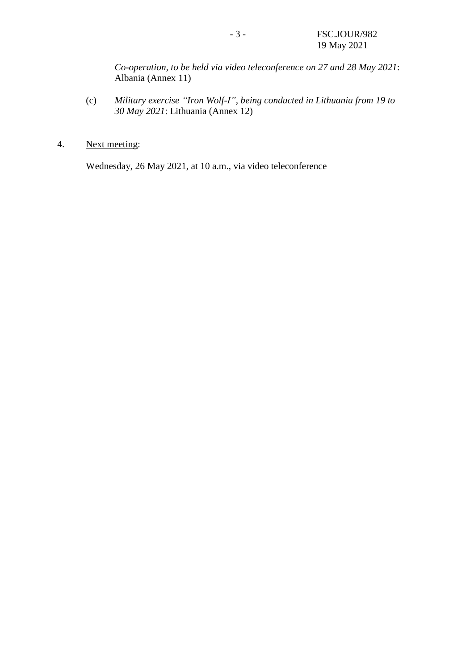*Co-operation, to be held via video teleconference on 27 and 28 May 2021*: Albania (Annex 11)

- (c) *Military exercise "Iron Wolf-I", being conducted in Lithuania from 19 to 30 May 2021*: Lithuania (Annex 12)
- 4. Next meeting:

Wednesday, 26 May 2021, at 10 a.m., via video teleconference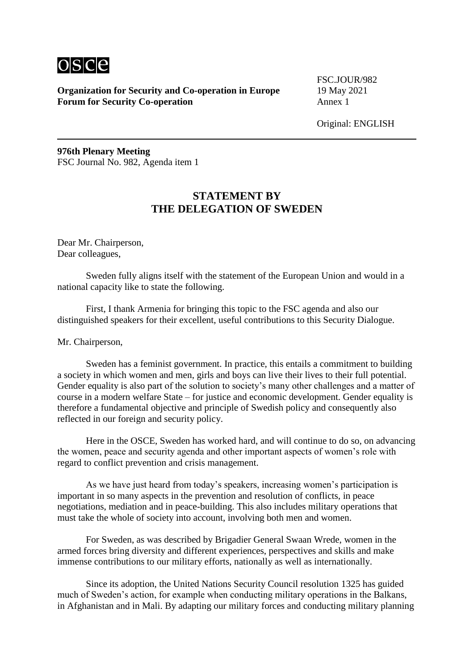

FSC.JOUR/982

Original: ENGLISH

**976th Plenary Meeting** FSC Journal No. 982, Agenda item 1

## **STATEMENT BY THE DELEGATION OF SWEDEN**

Dear Mr. Chairperson, Dear colleagues,

Sweden fully aligns itself with the statement of the European Union and would in a national capacity like to state the following.

First, I thank Armenia for bringing this topic to the FSC agenda and also our distinguished speakers for their excellent, useful contributions to this Security Dialogue.

Mr. Chairperson,

Sweden has a feminist government. In practice, this entails a commitment to building a society in which women and men, girls and boys can live their lives to their full potential. Gender equality is also part of the solution to society's many other challenges and a matter of course in a modern welfare State – for justice and economic development. Gender equality is therefore a fundamental objective and principle of Swedish policy and consequently also reflected in our foreign and security policy.

Here in the OSCE, Sweden has worked hard, and will continue to do so, on advancing the women, peace and security agenda and other important aspects of women's role with regard to conflict prevention and crisis management.

As we have just heard from today's speakers, increasing women's participation is important in so many aspects in the prevention and resolution of conflicts, in peace negotiations, mediation and in peace-building. This also includes military operations that must take the whole of society into account, involving both men and women.

For Sweden, as was described by Brigadier General Swaan Wrede, women in the armed forces bring diversity and different experiences, perspectives and skills and make immense contributions to our military efforts, nationally as well as internationally.

Since its adoption, the United Nations Security Council resolution 1325 has guided much of Sweden's action, for example when conducting military operations in the Balkans, in Afghanistan and in Mali. By adapting our military forces and conducting military planning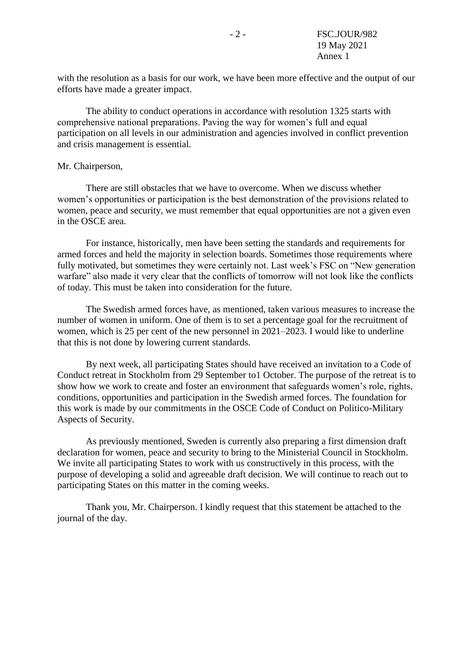with the resolution as a basis for our work, we have been more effective and the output of our efforts have made a greater impact.

The ability to conduct operations in accordance with resolution 1325 starts with comprehensive national preparations. Paving the way for women's full and equal participation on all levels in our administration and agencies involved in conflict prevention and crisis management is essential.

#### Mr. Chairperson,

There are still obstacles that we have to overcome. When we discuss whether women's opportunities or participation is the best demonstration of the provisions related to women, peace and security, we must remember that equal opportunities are not a given even in the OSCE area.

For instance, historically, men have been setting the standards and requirements for armed forces and held the majority in selection boards. Sometimes those requirements where fully motivated, but sometimes they were certainly not. Last week's FSC on "New generation warfare" also made it very clear that the conflicts of tomorrow will not look like the conflicts of today. This must be taken into consideration for the future.

The Swedish armed forces have, as mentioned, taken various measures to increase the number of women in uniform. One of them is to set a percentage goal for the recruitment of women, which is 25 per cent of the new personnel in 2021–2023. I would like to underline that this is not done by lowering current standards.

By next week, all participating States should have received an invitation to a Code of Conduct retreat in Stockholm from 29 September to1 October. The purpose of the retreat is to show how we work to create and foster an environment that safeguards women's role, rights, conditions, opportunities and participation in the Swedish armed forces. The foundation for this work is made by our commitments in the OSCE Code of Conduct on Politico-Military Aspects of Security.

As previously mentioned, Sweden is currently also preparing a first dimension draft declaration for women, peace and security to bring to the Ministerial Council in Stockholm. We invite all participating States to work with us constructively in this process, with the purpose of developing a solid and agreeable draft decision. We will continue to reach out to participating States on this matter in the coming weeks.

Thank you, Mr. Chairperson. I kindly request that this statement be attached to the journal of the day.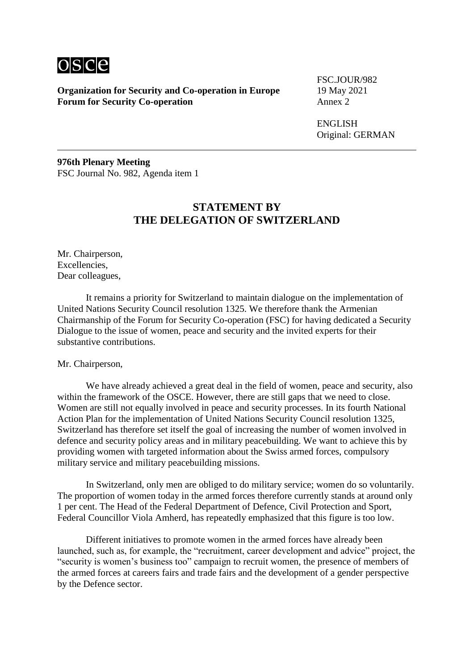

FSC.JOUR/982

ENGLISH Original: GERMAN

**976th Plenary Meeting** FSC Journal No. 982, Agenda item 1

## **STATEMENT BY THE DELEGATION OF SWITZERLAND**

Mr. Chairperson, Excellencies, Dear colleagues,

It remains a priority for Switzerland to maintain dialogue on the implementation of United Nations Security Council resolution 1325. We therefore thank the Armenian Chairmanship of the Forum for Security Co-operation (FSC) for having dedicated a Security Dialogue to the issue of women, peace and security and the invited experts for their substantive contributions.

#### Mr. Chairperson,

We have already achieved a great deal in the field of women, peace and security, also within the framework of the OSCE. However, there are still gaps that we need to close. Women are still not equally involved in peace and security processes. In its fourth National Action Plan for the implementation of United Nations Security Council resolution 1325, Switzerland has therefore set itself the goal of increasing the number of women involved in defence and security policy areas and in military peacebuilding. We want to achieve this by providing women with targeted information about the Swiss armed forces, compulsory military service and military peacebuilding missions.

In Switzerland, only men are obliged to do military service; women do so voluntarily. The proportion of women today in the armed forces therefore currently stands at around only 1 per cent. The Head of the Federal Department of Defence, Civil Protection and Sport, Federal Councillor Viola Amherd, has repeatedly emphasized that this figure is too low.

Different initiatives to promote women in the armed forces have already been launched, such as, for example, the "recruitment, career development and advice" project, the "security is women's business too" campaign to recruit women, the presence of members of the armed forces at careers fairs and trade fairs and the development of a gender perspective by the Defence sector.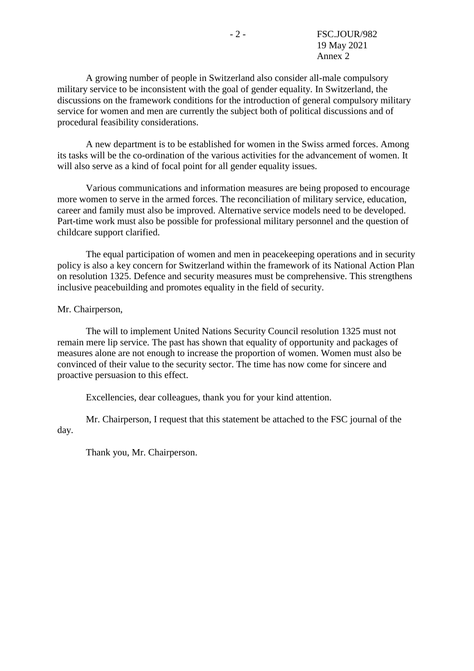A growing number of people in Switzerland also consider all-male compulsory military service to be inconsistent with the goal of gender equality. In Switzerland, the discussions on the framework conditions for the introduction of general compulsory military service for women and men are currently the subject both of political discussions and of procedural feasibility considerations.

A new department is to be established for women in the Swiss armed forces. Among its tasks will be the co-ordination of the various activities for the advancement of women. It will also serve as a kind of focal point for all gender equality issues.

Various communications and information measures are being proposed to encourage more women to serve in the armed forces. The reconciliation of military service, education, career and family must also be improved. Alternative service models need to be developed. Part-time work must also be possible for professional military personnel and the question of childcare support clarified.

The equal participation of women and men in peacekeeping operations and in security policy is also a key concern for Switzerland within the framework of its National Action Plan on resolution 1325. Defence and security measures must be comprehensive. This strengthens inclusive peacebuilding and promotes equality in the field of security.

#### Mr. Chairperson,

The will to implement United Nations Security Council resolution 1325 must not remain mere lip service. The past has shown that equality of opportunity and packages of measures alone are not enough to increase the proportion of women. Women must also be convinced of their value to the security sector. The time has now come for sincere and proactive persuasion to this effect.

Excellencies, dear colleagues, thank you for your kind attention.

Mr. Chairperson, I request that this statement be attached to the FSC journal of the day.

Thank you, Mr. Chairperson.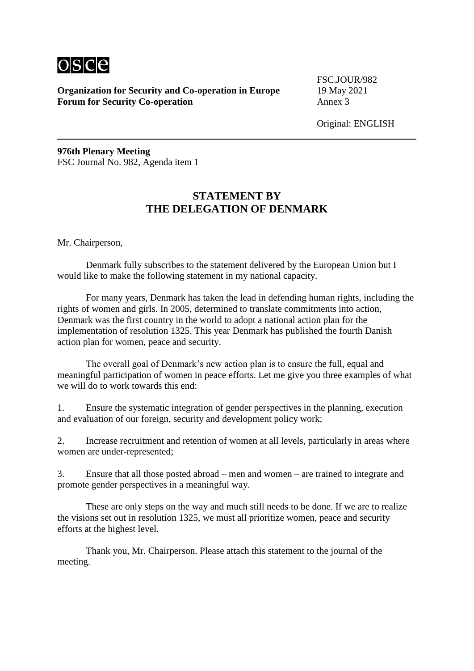

FSC.JOUR/982

Original: ENGLISH

**976th Plenary Meeting** FSC Journal No. 982, Agenda item 1

### **STATEMENT BY THE DELEGATION OF DENMARK**

Mr. Chairperson,

Denmark fully subscribes to the statement delivered by the European Union but I would like to make the following statement in my national capacity.

For many years, Denmark has taken the lead in defending human rights, including the rights of women and girls. In 2005, determined to translate commitments into action, Denmark was the first country in the world to adopt a national action plan for the implementation of resolution 1325. This year Denmark has published the fourth Danish action plan for women, peace and security.

The overall goal of Denmark's new action plan is to ensure the full, equal and meaningful participation of women in peace efforts. Let me give you three examples of what we will do to work towards this end:

1. Ensure the systematic integration of gender perspectives in the planning, execution and evaluation of our foreign, security and development policy work;

2. Increase recruitment and retention of women at all levels, particularly in areas where women are under-represented;

3. Ensure that all those posted abroad – men and women – are trained to integrate and promote gender perspectives in a meaningful way.

These are only steps on the way and much still needs to be done. If we are to realize the visions set out in resolution 1325, we must all prioritize women, peace and security efforts at the highest level.

Thank you, Mr. Chairperson. Please attach this statement to the journal of the meeting.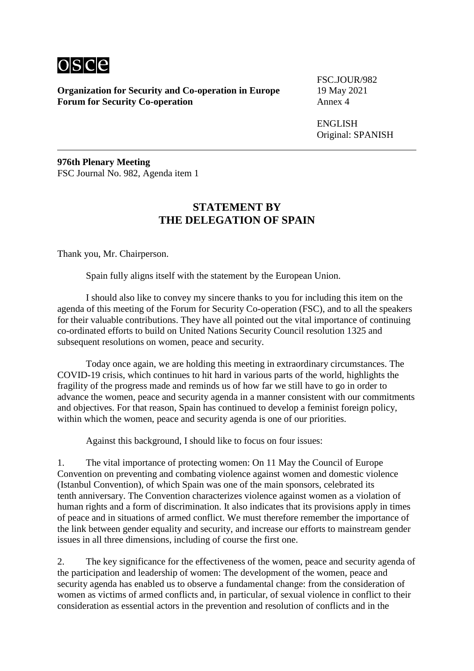

FSC.JOUR/982

ENGLISH Original: SPANISH

**976th Plenary Meeting** FSC Journal No. 982, Agenda item 1

# **STATEMENT BY THE DELEGATION OF SPAIN**

Thank you, Mr. Chairperson.

Spain fully aligns itself with the statement by the European Union.

I should also like to convey my sincere thanks to you for including this item on the agenda of this meeting of the Forum for Security Co-operation (FSC), and to all the speakers for their valuable contributions. They have all pointed out the vital importance of continuing co-ordinated efforts to build on United Nations Security Council resolution 1325 and subsequent resolutions on women, peace and security.

Today once again, we are holding this meeting in extraordinary circumstances. The COVID-19 crisis, which continues to hit hard in various parts of the world, highlights the fragility of the progress made and reminds us of how far we still have to go in order to advance the women, peace and security agenda in a manner consistent with our commitments and objectives. For that reason, Spain has continued to develop a feminist foreign policy, within which the women, peace and security agenda is one of our priorities.

Against this background, I should like to focus on four issues:

1. The vital importance of protecting women: On 11 May the Council of Europe Convention on preventing and combating violence against women and domestic violence (Istanbul Convention), of which Spain was one of the main sponsors, celebrated its tenth anniversary. The Convention characterizes violence against women as a violation of human rights and a form of discrimination. It also indicates that its provisions apply in times of peace and in situations of armed conflict. We must therefore remember the importance of the link between gender equality and security, and increase our efforts to mainstream gender issues in all three dimensions, including of course the first one.

2. The key significance for the effectiveness of the women, peace and security agenda of the participation and leadership of women: The development of the women, peace and security agenda has enabled us to observe a fundamental change: from the consideration of women as victims of armed conflicts and, in particular, of sexual violence in conflict to their consideration as essential actors in the prevention and resolution of conflicts and in the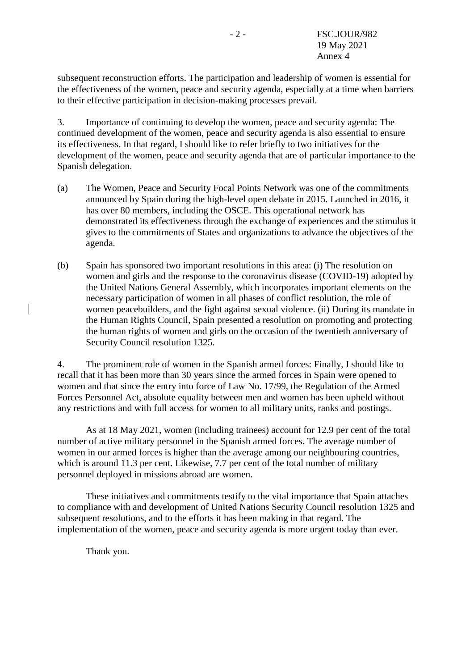subsequent reconstruction efforts. The participation and leadership of women is essential for the effectiveness of the women, peace and security agenda, especially at a time when barriers to their effective participation in decision-making processes prevail.

3. Importance of continuing to develop the women, peace and security agenda: The continued development of the women, peace and security agenda is also essential to ensure its effectiveness. In that regard, I should like to refer briefly to two initiatives for the development of the women, peace and security agenda that are of particular importance to the Spanish delegation.

- (a) The Women, Peace and Security Focal Points Network was one of the commitments announced by Spain during the high-level open debate in 2015. Launched in 2016, it has over 80 members, including the OSCE. This operational network has demonstrated its effectiveness through the exchange of experiences and the stimulus it gives to the commitments of States and organizations to advance the objectives of the agenda.
- (b) Spain has sponsored two important resolutions in this area: (i) The resolution on women and girls and the response to the coronavirus disease (COVID-19) adopted by the United Nations General Assembly, which incorporates important elements on the necessary participation of women in all phases of conflict resolution, the role of women peacebuilders, and the fight against sexual violence. (ii) During its mandate in the Human Rights Council, Spain presented a resolution on promoting and protecting the human rights of women and girls on the occasion of the twentieth anniversary of Security Council resolution 1325.

4. The prominent role of women in the Spanish armed forces: Finally, I should like to recall that it has been more than 30 years since the armed forces in Spain were opened to women and that since the entry into force of Law No. 17/99, the Regulation of the Armed Forces Personnel Act, absolute equality between men and women has been upheld without any restrictions and with full access for women to all military units, ranks and postings.

As at 18 May 2021, women (including trainees) account for 12.9 per cent of the total number of active military personnel in the Spanish armed forces. The average number of women in our armed forces is higher than the average among our neighbouring countries, which is around 11.3 per cent. Likewise, 7.7 per cent of the total number of military personnel deployed in missions abroad are women.

These initiatives and commitments testify to the vital importance that Spain attaches to compliance with and development of United Nations Security Council resolution 1325 and subsequent resolutions, and to the efforts it has been making in that regard. The implementation of the women, peace and security agenda is more urgent today than ever.

Thank you.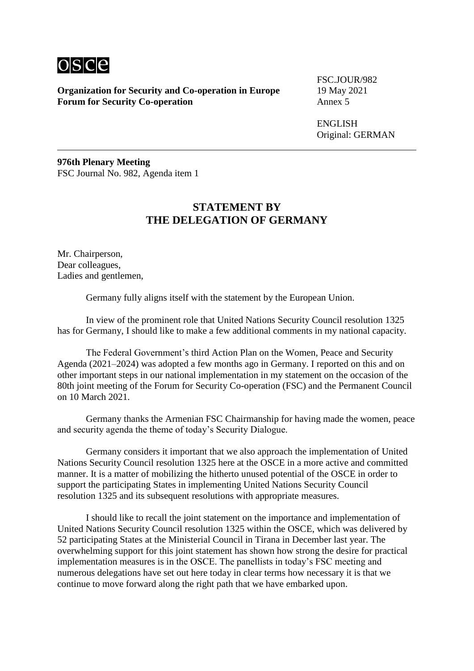

FSC.JOUR/982

ENGLISH Original: GERMAN

**976th Plenary Meeting** FSC Journal No. 982, Agenda item 1

## **STATEMENT BY THE DELEGATION OF GERMANY**

Mr. Chairperson, Dear colleagues, Ladies and gentlemen,

Germany fully aligns itself with the statement by the European Union.

In view of the prominent role that United Nations Security Council resolution 1325 has for Germany, I should like to make a few additional comments in my national capacity.

The Federal Government's third Action Plan on the Women, Peace and Security Agenda (2021–2024) was adopted a few months ago in Germany. I reported on this and on other important steps in our national implementation in my statement on the occasion of the 80th joint meeting of the Forum for Security Co-operation (FSC) and the Permanent Council on 10 March 2021.

Germany thanks the Armenian FSC Chairmanship for having made the women, peace and security agenda the theme of today's Security Dialogue.

Germany considers it important that we also approach the implementation of United Nations Security Council resolution 1325 here at the OSCE in a more active and committed manner. It is a matter of mobilizing the hitherto unused potential of the OSCE in order to support the participating States in implementing United Nations Security Council resolution 1325 and its subsequent resolutions with appropriate measures.

I should like to recall the joint statement on the importance and implementation of United Nations Security Council resolution 1325 within the OSCE, which was delivered by 52 participating States at the Ministerial Council in Tirana in December last year. The overwhelming support for this joint statement has shown how strong the desire for practical implementation measures is in the OSCE. The panellists in today's FSC meeting and numerous delegations have set out here today in clear terms how necessary it is that we continue to move forward along the right path that we have embarked upon.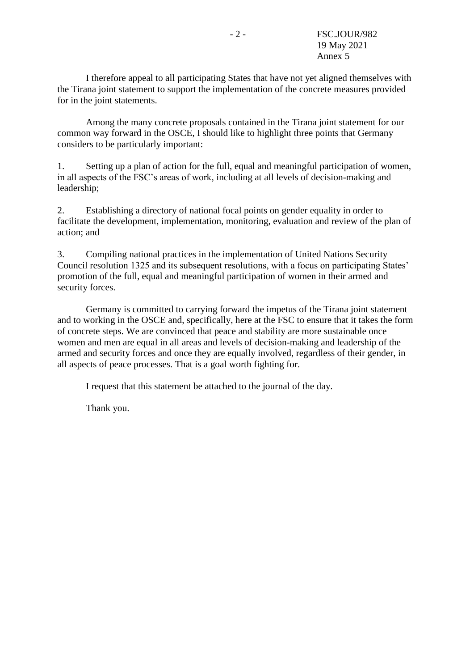I therefore appeal to all participating States that have not yet aligned themselves with the Tirana joint statement to support the implementation of the concrete measures provided for in the joint statements.

Among the many concrete proposals contained in the Tirana joint statement for our common way forward in the OSCE, I should like to highlight three points that Germany considers to be particularly important:

1. Setting up a plan of action for the full, equal and meaningful participation of women, in all aspects of the FSC's areas of work, including at all levels of decision-making and leadership;

2. Establishing a directory of national focal points on gender equality in order to facilitate the development, implementation, monitoring, evaluation and review of the plan of action; and

3. Compiling national practices in the implementation of United Nations Security Council resolution 1325 and its subsequent resolutions, with a focus on participating States' promotion of the full, equal and meaningful participation of women in their armed and security forces.

Germany is committed to carrying forward the impetus of the Tirana joint statement and to working in the OSCE and, specifically, here at the FSC to ensure that it takes the form of concrete steps. We are convinced that peace and stability are more sustainable once women and men are equal in all areas and levels of decision-making and leadership of the armed and security forces and once they are equally involved, regardless of their gender, in all aspects of peace processes. That is a goal worth fighting for.

I request that this statement be attached to the journal of the day.

Thank you.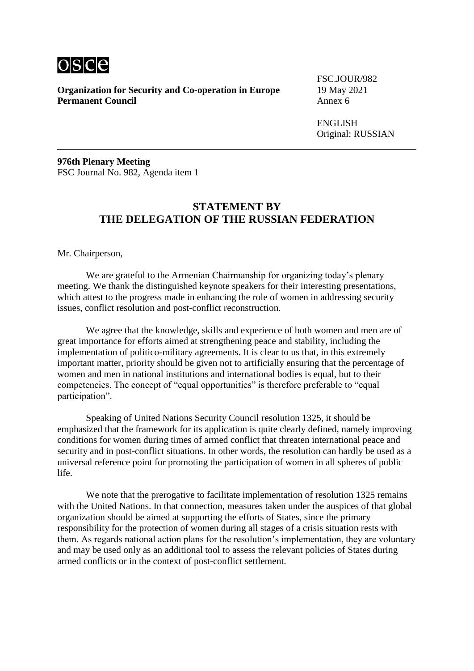

**Organization for Security and Co-operation in Europe** 19 May 2021<br>**Permanent Council** Annex 6 **Permanent Council** 

FSC.JOUR/982

ENGLISH Original: RUSSIAN

**976th Plenary Meeting** FSC Journal No. 982, Agenda item 1

### **STATEMENT BY THE DELEGATION OF THE RUSSIAN FEDERATION**

Mr. Chairperson,

We are grateful to the Armenian Chairmanship for organizing today's plenary meeting. We thank the distinguished keynote speakers for their interesting presentations, which attest to the progress made in enhancing the role of women in addressing security issues, conflict resolution and post-conflict reconstruction.

We agree that the knowledge, skills and experience of both women and men are of great importance for efforts aimed at strengthening peace and stability, including the implementation of politico-military agreements. It is clear to us that, in this extremely important matter, priority should be given not to artificially ensuring that the percentage of women and men in national institutions and international bodies is equal, but to their competencies. The concept of "equal opportunities" is therefore preferable to "equal participation".

Speaking of United Nations Security Council resolution 1325, it should be emphasized that the framework for its application is quite clearly defined, namely improving conditions for women during times of armed conflict that threaten international peace and security and in post-conflict situations. In other words, the resolution can hardly be used as a universal reference point for promoting the participation of women in all spheres of public life.

We note that the prerogative to facilitate implementation of resolution 1325 remains with the United Nations. In that connection, measures taken under the auspices of that global organization should be aimed at supporting the efforts of States, since the primary responsibility for the protection of women during all stages of a crisis situation rests with them. As regards national action plans for the resolution's implementation, they are voluntary and may be used only as an additional tool to assess the relevant policies of States during armed conflicts or in the context of post-conflict settlement.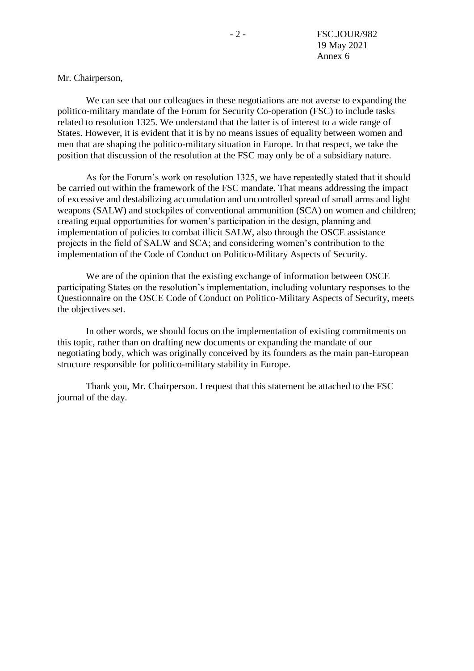#### Mr. Chairperson,

We can see that our colleagues in these negotiations are not averse to expanding the politico-military mandate of the Forum for Security Co-operation (FSC) to include tasks related to resolution 1325. We understand that the latter is of interest to a wide range of States. However, it is evident that it is by no means issues of equality between women and men that are shaping the politico-military situation in Europe. In that respect, we take the position that discussion of the resolution at the FSC may only be of a subsidiary nature.

As for the Forum's work on resolution 1325, we have repeatedly stated that it should be carried out within the framework of the FSC mandate. That means addressing the impact of excessive and destabilizing accumulation and uncontrolled spread of small arms and light weapons (SALW) and stockpiles of conventional ammunition (SCA) on women and children; creating equal opportunities for women's participation in the design, planning and implementation of policies to combat illicit SALW, also through the OSCE assistance projects in the field of SALW and SCA; and considering women's contribution to the implementation of the Code of Conduct on Politico-Military Aspects of Security.

We are of the opinion that the existing exchange of information between OSCE participating States on the resolution's implementation, including voluntary responses to the Questionnaire on the OSCE Code of Conduct on Politico-Military Aspects of Security, meets the objectives set.

In other words, we should focus on the implementation of existing commitments on this topic, rather than on drafting new documents or expanding the mandate of our negotiating body, which was originally conceived by its founders as the main pan-European structure responsible for politico-military stability in Europe.

Thank you, Mr. Chairperson. I request that this statement be attached to the FSC journal of the day.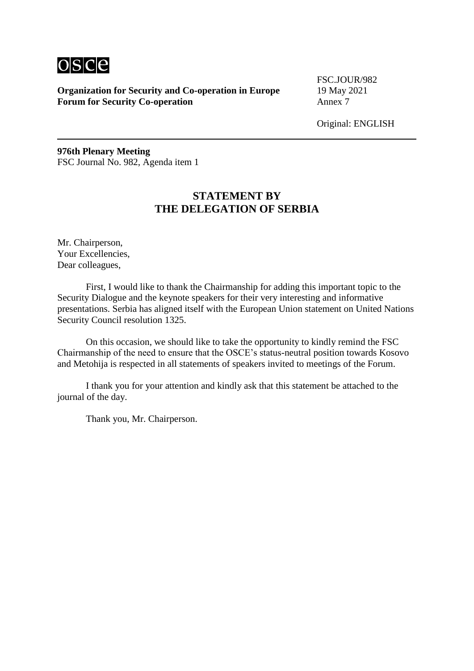

FSC.JOUR/982

Original: ENGLISH

**976th Plenary Meeting** FSC Journal No. 982, Agenda item 1

## **STATEMENT BY THE DELEGATION OF SERBIA**

Mr. Chairperson, Your Excellencies, Dear colleagues,

First, I would like to thank the Chairmanship for adding this important topic to the Security Dialogue and the keynote speakers for their very interesting and informative presentations. Serbia has aligned itself with the European Union statement on United Nations Security Council resolution 1325.

On this occasion, we should like to take the opportunity to kindly remind the FSC Chairmanship of the need to ensure that the OSCE's status-neutral position towards Kosovo and Metohija is respected in all statements of speakers invited to meetings of the Forum.

I thank you for your attention and kindly ask that this statement be attached to the journal of the day.

Thank you, Mr. Chairperson.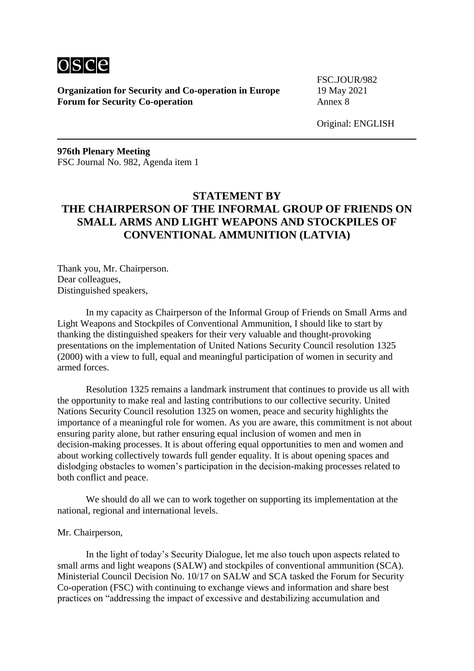

FSC.JOUR/982

Original: ENGLISH

**976th Plenary Meeting** FSC Journal No. 982, Agenda item 1

# **STATEMENT BY THE CHAIRPERSON OF THE INFORMAL GROUP OF FRIENDS ON SMALL ARMS AND LIGHT WEAPONS AND STOCKPILES OF CONVENTIONAL AMMUNITION (LATVIA)**

Thank you, Mr. Chairperson. Dear colleagues, Distinguished speakers,

In my capacity as Chairperson of the Informal Group of Friends on Small Arms and Light Weapons and Stockpiles of Conventional Ammunition, I should like to start by thanking the distinguished speakers for their very valuable and thought-provoking presentations on the implementation of United Nations Security Council resolution 1325 (2000) with a view to full, equal and meaningful participation of women in security and armed forces.

Resolution 1325 remains a landmark instrument that continues to provide us all with the opportunity to make real and lasting contributions to our collective security. United Nations Security Council resolution 1325 on women, peace and security highlights the importance of a meaningful role for women. As you are aware, this commitment is not about ensuring parity alone, but rather ensuring equal inclusion of women and men in decision-making processes. It is about offering equal opportunities to men and women and about working collectively towards full gender equality. It is about opening spaces and dislodging obstacles to women's participation in the decision-making processes related to both conflict and peace.

We should do all we can to work together on supporting its implementation at the national, regional and international levels.

#### Mr. Chairperson,

In the light of today's Security Dialogue, let me also touch upon aspects related to small arms and light weapons (SALW) and stockpiles of conventional ammunition (SCA). Ministerial Council Decision No. 10/17 on SALW and SCA tasked the Forum for Security Co-operation (FSC) with continuing to exchange views and information and share best practices on "addressing the impact of excessive and destabilizing accumulation and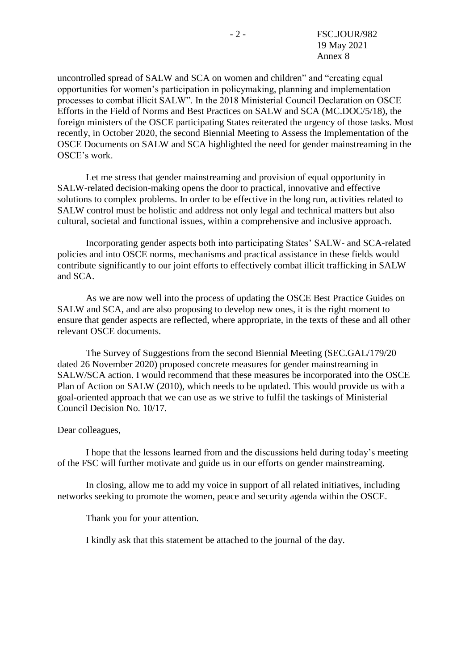uncontrolled spread of SALW and SCA on women and children" and "creating equal opportunities for women's participation in policymaking, planning and implementation processes to combat illicit SALW". In the 2018 Ministerial Council Declaration on OSCE Efforts in the Field of Norms and Best Practices on SALW and SCA (MC.DOC/5/18), the foreign ministers of the OSCE participating States reiterated the urgency of those tasks. Most recently, in October 2020, the second Biennial Meeting to Assess the Implementation of the OSCE Documents on SALW and SCA highlighted the need for gender mainstreaming in the OSCE's work.

Let me stress that gender mainstreaming and provision of equal opportunity in SALW-related decision-making opens the door to practical, innovative and effective solutions to complex problems. In order to be effective in the long run, activities related to SALW control must be holistic and address not only legal and technical matters but also cultural, societal and functional issues, within a comprehensive and inclusive approach.

Incorporating gender aspects both into participating States' SALW- and SCA-related policies and into OSCE norms, mechanisms and practical assistance in these fields would contribute significantly to our joint efforts to effectively combat illicit trafficking in SALW and SCA.

As we are now well into the process of updating the OSCE Best Practice Guides on SALW and SCA, and are also proposing to develop new ones, it is the right moment to ensure that gender aspects are reflected, where appropriate, in the texts of these and all other relevant OSCE documents.

The Survey of Suggestions from the second Biennial Meeting (SEC.GAL/179/20 dated 26 November 2020) proposed concrete measures for gender mainstreaming in SALW/SCA action. I would recommend that these measures be incorporated into the OSCE Plan of Action on SALW (2010), which needs to be updated. This would provide us with a goal-oriented approach that we can use as we strive to fulfil the taskings of Ministerial Council Decision No. 10/17.

#### Dear colleagues,

I hope that the lessons learned from and the discussions held during today's meeting of the FSC will further motivate and guide us in our efforts on gender mainstreaming.

In closing, allow me to add my voice in support of all related initiatives, including networks seeking to promote the women, peace and security agenda within the OSCE.

Thank you for your attention.

I kindly ask that this statement be attached to the journal of the day.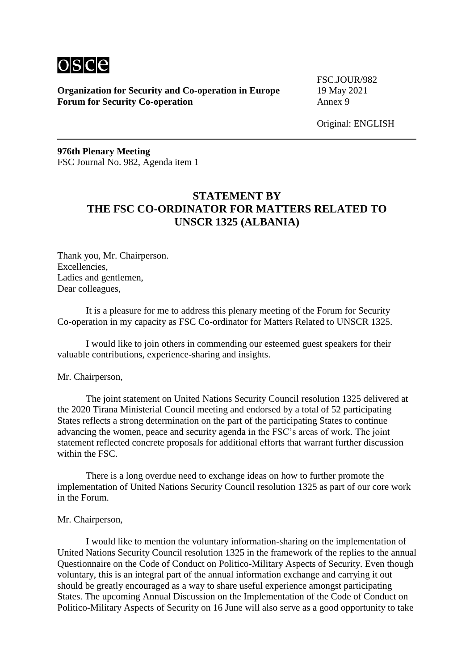

FSC.JOUR/982

Original: ENGLISH

**976th Plenary Meeting** FSC Journal No. 982, Agenda item 1

# **STATEMENT BY THE FSC CO-ORDINATOR FOR MATTERS RELATED TO UNSCR 1325 (ALBANIA)**

Thank you, Mr. Chairperson. Excellencies, Ladies and gentlemen, Dear colleagues,

It is a pleasure for me to address this plenary meeting of the Forum for Security Co-operation in my capacity as FSC Co-ordinator for Matters Related to UNSCR 1325.

I would like to join others in commending our esteemed guest speakers for their valuable contributions, experience-sharing and insights.

#### Mr. Chairperson,

The joint statement on United Nations Security Council resolution 1325 delivered at the 2020 Tirana Ministerial Council meeting and endorsed by a total of 52 participating States reflects a strong determination on the part of the participating States to continue advancing the women, peace and security agenda in the FSC's areas of work. The joint statement reflected concrete proposals for additional efforts that warrant further discussion within the FSC.

There is a long overdue need to exchange ideas on how to further promote the implementation of United Nations Security Council resolution 1325 as part of our core work in the Forum.

#### Mr. Chairperson,

I would like to mention the voluntary information-sharing on the implementation of United Nations Security Council resolution 1325 in the framework of the replies to the annual Questionnaire on the Code of Conduct on Politico-Military Aspects of Security. Even though voluntary, this is an integral part of the annual information exchange and carrying it out should be greatly encouraged as a way to share useful experience amongst participating States. The upcoming Annual Discussion on the Implementation of the Code of Conduct on Politico-Military Aspects of Security on 16 June will also serve as a good opportunity to take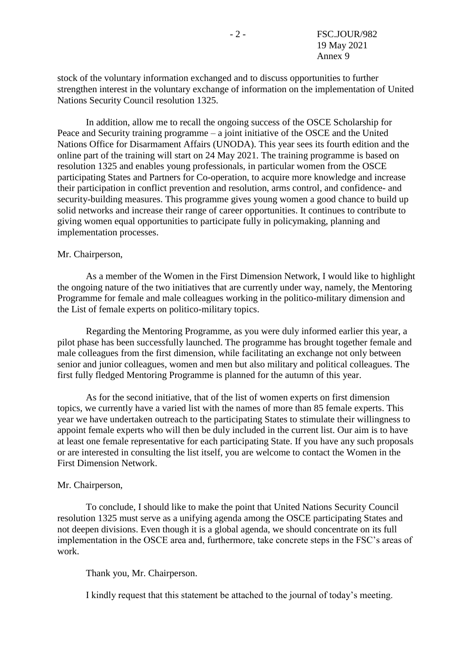stock of the voluntary information exchanged and to discuss opportunities to further strengthen interest in the voluntary exchange of information on the implementation of United Nations Security Council resolution 1325.

In addition, allow me to recall the ongoing success of the OSCE Scholarship for Peace and Security training programme – a joint initiative of the OSCE and the United Nations Office for Disarmament Affairs (UNODA). This year sees its fourth edition and the online part of the training will start on 24 May 2021. The training programme is based on resolution 1325 and enables young professionals, in particular women from the OSCE participating States and Partners for Co-operation, to acquire more knowledge and increase their participation in conflict prevention and resolution, arms control, and confidence- and security-building measures. This programme gives young women a good chance to build up solid networks and increase their range of career opportunities. It continues to contribute to giving women equal opportunities to participate fully in policymaking, planning and implementation processes.

#### Mr. Chairperson,

As a member of the Women in the First Dimension Network, I would like to highlight the ongoing nature of the two initiatives that are currently under way, namely, the Mentoring Programme for female and male colleagues working in the politico-military dimension and the List of female experts on politico-military topics.

Regarding the Mentoring Programme, as you were duly informed earlier this year, a pilot phase has been successfully launched. The programme has brought together female and male colleagues from the first dimension, while facilitating an exchange not only between senior and junior colleagues, women and men but also military and political colleagues. The first fully fledged Mentoring Programme is planned for the autumn of this year.

As for the second initiative, that of the list of women experts on first dimension topics, we currently have a varied list with the names of more than 85 female experts. This year we have undertaken outreach to the participating States to stimulate their willingness to appoint female experts who will then be duly included in the current list. Our aim is to have at least one female representative for each participating State. If you have any such proposals or are interested in consulting the list itself, you are welcome to contact the Women in the First Dimension Network.

#### Mr. Chairperson,

To conclude, I should like to make the point that United Nations Security Council resolution 1325 must serve as a unifying agenda among the OSCE participating States and not deepen divisions. Even though it is a global agenda, we should concentrate on its full implementation in the OSCE area and, furthermore, take concrete steps in the FSC's areas of work.

Thank you, Mr. Chairperson.

I kindly request that this statement be attached to the journal of today's meeting.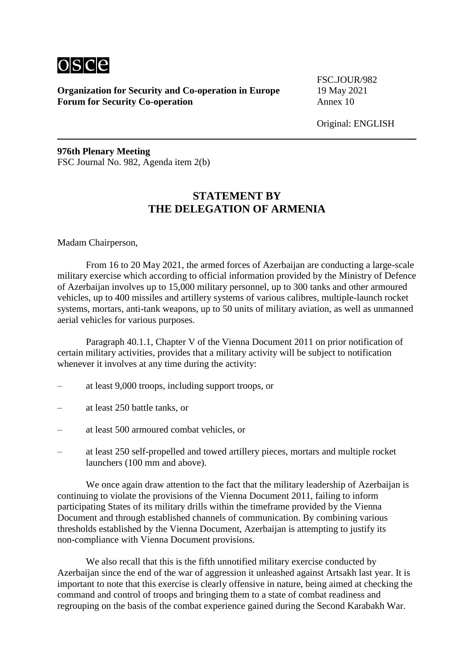

FSC.JOUR/982

Original: ENGLISH

**976th Plenary Meeting** FSC Journal No. 982, Agenda item 2(b)

## **STATEMENT BY THE DELEGATION OF ARMENIA**

Madam Chairperson,

From 16 to 20 May 2021, the armed forces of Azerbaijan are conducting a large-scale military exercise which according to official information provided by the Ministry of Defence of Azerbaijan involves up to 15,000 military personnel, up to 300 tanks and other armoured vehicles, up to 400 missiles and artillery systems of various calibres, multiple-launch rocket systems, mortars, anti-tank weapons, up to 50 units of military aviation, as well as unmanned aerial vehicles for various purposes.

Paragraph 40.1.1, Chapter V of the Vienna Document 2011 on prior notification of certain military activities, provides that a military activity will be subject to notification whenever it involves at any time during the activity:

- at least 9,000 troops, including support troops, or
- at least 250 battle tanks, or
- at least 500 armoured combat vehicles, or
- at least 250 self-propelled and towed artillery pieces, mortars and multiple rocket launchers (100 mm and above).

We once again draw attention to the fact that the military leadership of Azerbaijan is continuing to violate the provisions of the Vienna Document 2011, failing to inform participating States of its military drills within the timeframe provided by the Vienna Document and through established channels of communication. By combining various thresholds established by the Vienna Document, Azerbaijan is attempting to justify its non-compliance with Vienna Document provisions.

We also recall that this is the fifth unnotified military exercise conducted by Azerbaijan since the end of the war of aggression it unleashed against Artsakh last year. It is important to note that this exercise is clearly offensive in nature, being aimed at checking the command and control of troops and bringing them to a state of combat readiness and regrouping on the basis of the combat experience gained during the Second Karabakh War.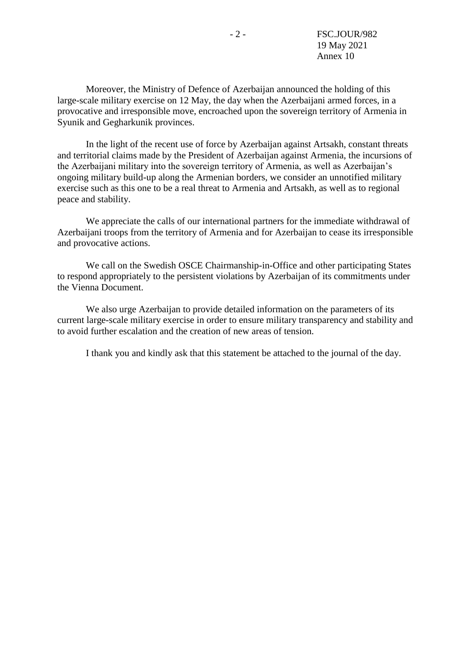Moreover, the Ministry of Defence of Azerbaijan announced the holding of this large-scale military exercise on 12 May, the day when the Azerbaijani armed forces, in a provocative and irresponsible move, encroached upon the sovereign territory of Armenia in Syunik and Gegharkunik provinces.

In the light of the recent use of force by Azerbaijan against Artsakh, constant threats and territorial claims made by the President of Azerbaijan against Armenia, the incursions of the Azerbaijani military into the sovereign territory of Armenia, as well as Azerbaijan's ongoing military build-up along the Armenian borders, we consider an unnotified military exercise such as this one to be a real threat to Armenia and Artsakh, as well as to regional peace and stability.

We appreciate the calls of our international partners for the immediate withdrawal of Azerbaijani troops from the territory of Armenia and for Azerbaijan to cease its irresponsible and provocative actions.

We call on the Swedish OSCE Chairmanship-in-Office and other participating States to respond appropriately to the persistent violations by Azerbaijan of its commitments under the Vienna Document.

We also urge Azerbaijan to provide detailed information on the parameters of its current large-scale military exercise in order to ensure military transparency and stability and to avoid further escalation and the creation of new areas of tension.

I thank you and kindly ask that this statement be attached to the journal of the day.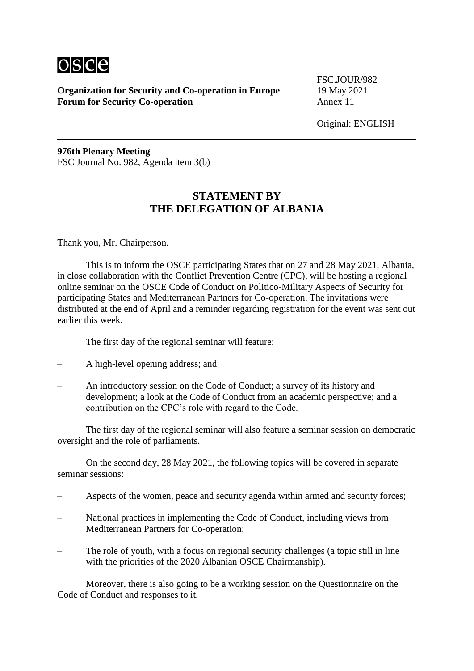

FSC.JOUR/982

Original: ENGLISH

**976th Plenary Meeting** FSC Journal No. 982, Agenda item 3(b)

### **STATEMENT BY THE DELEGATION OF ALBANIA**

Thank you, Mr. Chairperson.

This is to inform the OSCE participating States that on 27 and 28 May 2021, Albania, in close collaboration with the Conflict Prevention Centre (CPC), will be hosting a regional online seminar on the OSCE Code of Conduct on Politico-Military Aspects of Security for participating States and Mediterranean Partners for Co-operation. The invitations were distributed at the end of April and a reminder regarding registration for the event was sent out earlier this week.

The first day of the regional seminar will feature:

- A high-level opening address; and
- An introductory session on the Code of Conduct; a survey of its history and development; a look at the Code of Conduct from an academic perspective; and a contribution on the CPC's role with regard to the Code.

The first day of the regional seminar will also feature a seminar session on democratic oversight and the role of parliaments.

On the second day, 28 May 2021, the following topics will be covered in separate seminar sessions:

- Aspects of the women, peace and security agenda within armed and security forces;
- National practices in implementing the Code of Conduct, including views from Mediterranean Partners for Co-operation;
- The role of youth, with a focus on regional security challenges (a topic still in line with the priorities of the 2020 Albanian OSCE Chairmanship).

Moreover, there is also going to be a working session on the Questionnaire on the Code of Conduct and responses to it.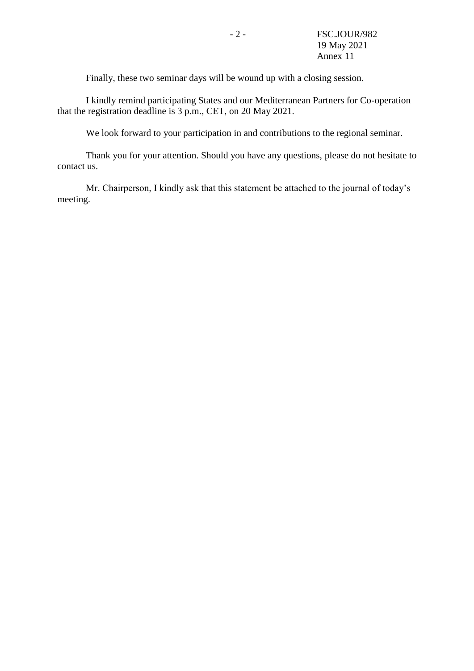Finally, these two seminar days will be wound up with a closing session.

I kindly remind participating States and our Mediterranean Partners for Co-operation that the registration deadline is 3 p.m., CET, on 20 May 2021.

We look forward to your participation in and contributions to the regional seminar.

Thank you for your attention. Should you have any questions, please do not hesitate to contact us.

Mr. Chairperson, I kindly ask that this statement be attached to the journal of today's meeting.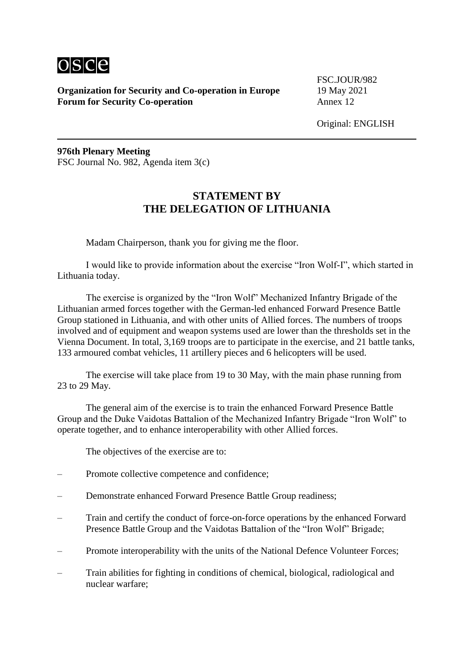

FSC.JOUR/982

Original: ENGLISH

**976th Plenary Meeting** FSC Journal No. 982, Agenda item 3(c)

### **STATEMENT BY THE DELEGATION OF LITHUANIA**

Madam Chairperson, thank you for giving me the floor.

I would like to provide information about the exercise "Iron Wolf-I", which started in Lithuania today.

The exercise is organized by the "Iron Wolf" Mechanized Infantry Brigade of the Lithuanian armed forces together with the German-led enhanced Forward Presence Battle Group stationed in Lithuania, and with other units of Allied forces. The numbers of troops involved and of equipment and weapon systems used are lower than the thresholds set in the Vienna Document. In total, 3,169 troops are to participate in the exercise, and 21 battle tanks, 133 armoured combat vehicles, 11 artillery pieces and 6 helicopters will be used.

The exercise will take place from 19 to 30 May, with the main phase running from 23 to 29 May.

The general aim of the exercise is to train the enhanced Forward Presence Battle Group and the Duke Vaidotas Battalion of the Mechanized Infantry Brigade "Iron Wolf" to operate together, and to enhance interoperability with other Allied forces.

The objectives of the exercise are to:

- Promote collective competence and confidence;
- Demonstrate enhanced Forward Presence Battle Group readiness;
- Train and certify the conduct of force-on-force operations by the enhanced Forward Presence Battle Group and the Vaidotas Battalion of the "Iron Wolf" Brigade;
- Promote interoperability with the units of the National Defence Volunteer Forces;
- Train abilities for fighting in conditions of chemical, biological, radiological and nuclear warfare;